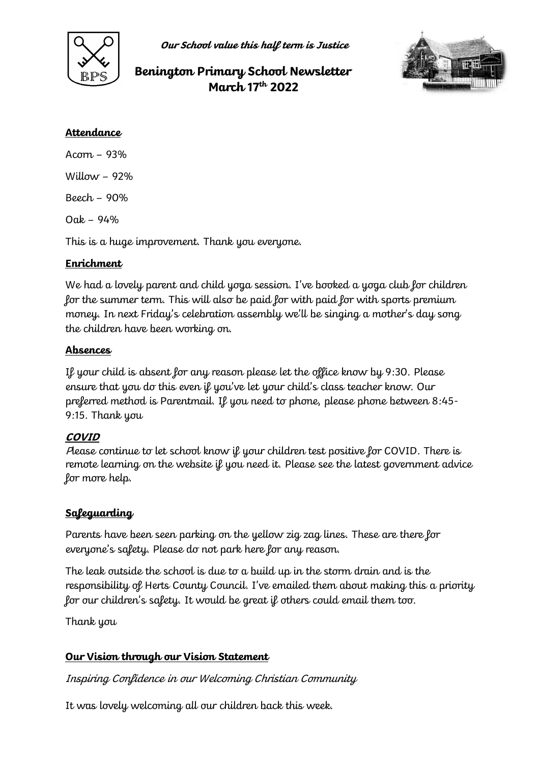

**Our School value this half term is Justice**

# **Benington Primary School Newsletter March 17th 2022**



### **Attendance**

Acorn – 93% Willow  $-92%$ Beech – 90%  $O$ ak – 94%

This is a huge improvement. Thank you everyone.

# **Enrichment**

We had a lovely parent and child yoga session. I've booked a yoga club for children for the summer term. This will also be paid for with paid for with sports premium money. In next Friday's celebration assembly we'll be singing a mother's day song the children have been working on.

### **Absences**

If your child is absent for any reason please let the office know by 9:30. Please ensure that you do this even if you've let your child's class teacher know. Our preferred method is Parentmail. If you need to phone, please phone between 8:45- 9:15. Thank you

# **COVID**

Please continue to let school know if your children test positive for COVID. There is remote learning on the website if you need it. Please see the latest government advice for more help.

# **Safeguarding**

Parents have been seen parking on the yellow zig zag lines. These are there for everyone's safety. Please do not park here for any reason.

The leak outside the school is due to a build up in the storm drain and is the responsibility of Herts County Council. I've emailed them about making this a priority for our children's safety. It would be great if others could email them too.

Thank you

# **Our Vision through our Vision Statement**

Inspiring Confidence in our Welcoming Christian Community

It was lovely welcoming all our children back this week.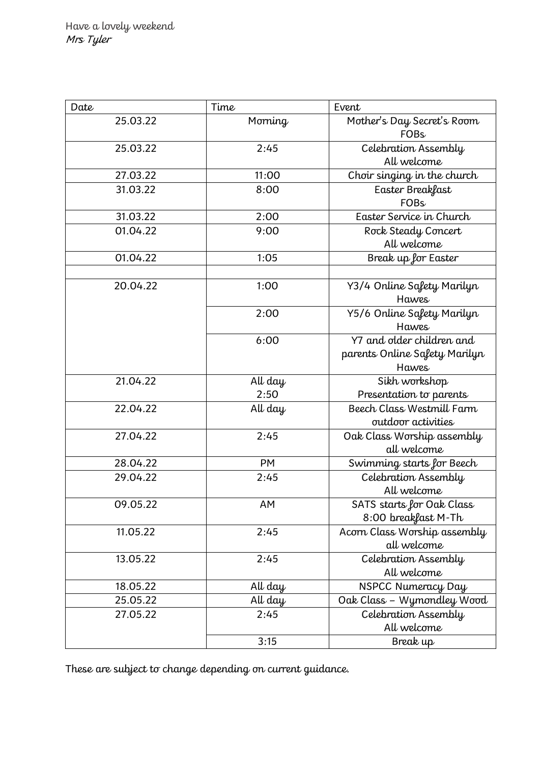| Date     | Time      | Event                         |
|----------|-----------|-------------------------------|
| 25.03.22 | Morning   | Mother's Day Secret's Room    |
|          |           | <b>FOBs</b>                   |
| 25.03.22 | 2:45      | Celebration Assembly          |
|          |           | All welcome                   |
| 27.03.22 | 11:00     | Choir singing in the church   |
| 31.03.22 | 8:00      | Easter Breakfast              |
|          |           | <b>FOBs</b>                   |
| 31.03.22 | 2:00      | Easter Service in Church      |
| 01.04.22 | 9:00      | Rock Steady Concert           |
|          |           | All welcome                   |
| 01.04.22 | 1:05      | Break up for Easter           |
|          |           |                               |
| 20.04.22 | 1:00      | Y3/4 Online Safety Marilyn    |
|          |           | <b>Hawes</b>                  |
|          | 2:00      | Y5/6 Online Safety Marilyn    |
|          |           | <b>Hawes</b>                  |
|          | 6:00      | Y7 and older children and     |
|          |           | parents Online Safety Marilyn |
|          |           | <b>Hawes</b>                  |
| 21.04.22 | All day   | Sikh workshop                 |
|          | 2:50      | Presentation to parents       |
| 22.04.22 | All day   | Beech Class Westmill Farm     |
|          |           | outdoor activities            |
| 27.04.22 | 2:45      | Oak Class Worship assembly    |
|          |           | all welcome                   |
| 28.04.22 | <b>PM</b> | Swimming starts for Beech     |
| 29.04.22 | 2:45      | Celebration Assembly          |
|          |           | All welcome                   |
| 09.05.22 | AΜ        | SATS starts for Oak Class     |
|          |           | 8:00 breakfast M-Th           |
| 11.05.22 | 2:45      | Acorn Class Worship assembly  |
|          |           | all welcome                   |
| 13.05.22 | 2:45      | Celebration Assembly          |
|          |           | All welcome                   |
| 18.05.22 | All day   | NSPCC Numeracy Day            |
| 25.05.22 | All day   | Oak Class - Wymondley Wood    |
| 27.05.22 | 2:45      | Celebration Assembly          |
|          |           | All welcome                   |
|          | 3:15      | Break up                      |

These are subject to change depending on current guidance.